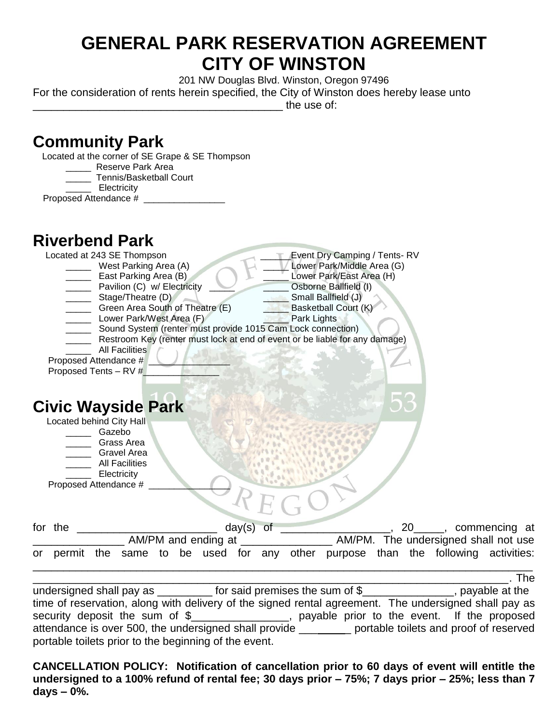## **GENERAL PARK RESERVATION AGREEMENT CITY OF WINSTON**

201 NW Douglas Blvd. Winston, Oregon 97496

For the consideration of rents herein specified, the City of Winston does hereby lease unto

\_\_\_\_\_\_\_\_\_\_\_\_\_\_\_\_\_\_\_\_\_\_\_\_\_\_\_\_\_\_\_\_\_\_\_\_\_\_\_\_\_ the use of:

| <b>Community Park</b><br>Located at the corner of SE Grape & SE Thompson                                   |  |
|------------------------------------------------------------------------------------------------------------|--|
| Reserve Park Area<br>Tennis/Basketball Court<br>Electricity                                                |  |
| <b>Riverbend Park</b><br>Located at 243 SE Thompson<br><b>Event Dry Camping / Tents-RV</b>                 |  |
| Lower Park/Middle Area (G)<br>West Parking Area (A)<br>_ East Parking Area (B)<br>Lower Park/East Area (H) |  |
| Pavilion (C) w/ Electricity<br>Osborne Ballfield (I)<br>Stage/Theatre (D)<br>Small Ballfield (J)<br>خالدا  |  |
| Green Area South of Theatre (E)<br><b>Basketball Court (K)</b>                                             |  |
| Lower Park/West Area (F)<br>Park Lights<br>Sound System (renter must provide 1015 Cam Lock connection)     |  |
| Restroom Key (renter must lock at end of event or be liable for any damage)                                |  |
| <b>All Facilities</b><br>Proposed Attendance #<br>Proposed Tents - RV #                                    |  |
| <b>Civic Wayside Park</b>                                                                                  |  |
| Located behind City Hall<br>____ Gazebo                                                                    |  |
| __ Grass Area                                                                                              |  |
| <b>Gravel Area</b><br><b>All Facilities</b>                                                                |  |
| Electricity<br>Proposed Attendance #                                                                       |  |
|                                                                                                            |  |
| day(s)<br>for the<br>of<br>20______, commencing at                                                         |  |
| __ AM/PM. The undersigned shall not use<br>AM/PM and ending at _____________                               |  |
| purpose than the following activities:<br>permit the same to be used for any other<br>or                   |  |
| The                                                                                                        |  |

undersigned shall pay as \_\_\_\_\_\_\_\_\_\_ for said premises the sum of \$\_\_\_\_\_\_\_\_\_\_\_\_\_\_\_, payable at the time of reservation, along with delivery of the signed rental agreement. The undersigned shall pay as security deposit the sum of \$\_\_\_\_\_\_\_\_\_\_\_\_\_\_\_\_, payable prior to the event. If the proposed attendance is over 500, the undersigned shall provide \_\_\_\_\_\_\_\_ portable toilets and proof of reserved portable toilets prior to the beginning of the event.

**CANCELLATION POLICY: Notification of cancellation prior to 60 days of event will entitle the undersigned to a 100% refund of rental fee; 30 days prior – 75%; 7 days prior – 25%; less than 7 days – 0%.**